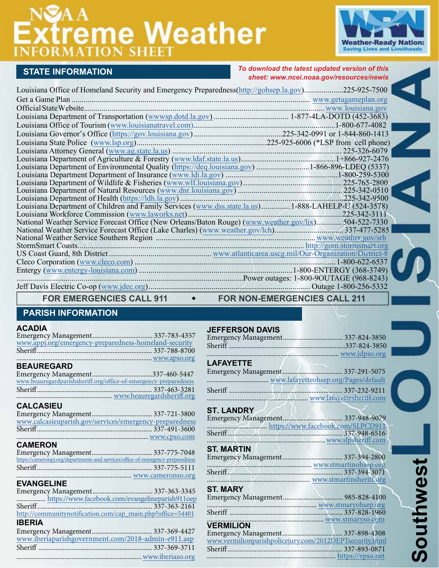# **Xtreme Weather**



# **STATE INFORMATION**

*To download the latest updated version of this sheet: www.nc[ei.noaa.gov/resources/newis](http://www.ngdc.noaa.gov/newis)*

| Louisiana Office of Homeland Security and Emergency Preparedness(http://gohsep.la.gov)225-925-7500    |              |
|-------------------------------------------------------------------------------------------------------|--------------|
|                                                                                                       |              |
|                                                                                                       |              |
|                                                                                                       |              |
|                                                                                                       |              |
|                                                                                                       |              |
|                                                                                                       |              |
|                                                                                                       |              |
|                                                                                                       | 225-326-6079 |
|                                                                                                       |              |
| Louisiana Department of Environmental Quality (https://deq.louisiana.gov) 1-866-896-LDEQ (5337)       |              |
|                                                                                                       |              |
|                                                                                                       |              |
|                                                                                                       |              |
|                                                                                                       |              |
| Louisiana Department of Children and Family Services (www.dss.state.la.us)1-888-LAHELP-U (524-3578)   |              |
|                                                                                                       |              |
| National Weather Service Forecast Office (New Orleans/Baton Rouge) (www.weather.gov/lix) 504-522-7330 |              |
|                                                                                                       |              |
|                                                                                                       |              |
|                                                                                                       |              |
|                                                                                                       |              |
|                                                                                                       |              |
|                                                                                                       |              |
|                                                                                                       |              |
|                                                                                                       |              |

FOR EMERGENCIES CALL 911 **•** FOR NON-EMERGENCIES CALL 211

# **PARISH INFORMATION**

### **ACADIA**

Emergency Management ................................... 337-783-4357 [www.appj.org/emergency-preparedness-homeland-security](http://www.appj.org/emergency-preparedness-homeland-security/) Sheriff................................................................... 337-788-8700 ...............................................................................<www.apso.org> **BEAUREGARD** Emergency Management ...................................337-460-5447

| www.beauregardparishsheriff.org/office-of-emergency-preparedness |
|------------------------------------------------------------------|
|                                                                  |
|                                                                  |
|                                                                  |

## **CALCASIEU**

| www.calcasieuparish.gov/services/emergency-preparedness |  |
|---------------------------------------------------------|--|
|                                                         |  |
|                                                         |  |
|                                                         |  |

# **CAMERON**

| https://cameronpj.org/departments-and-services/office-of-emergency-preparedness |  |
|---------------------------------------------------------------------------------|--|
|                                                                                 |  |
|                                                                                 |  |
|                                                                                 |  |

# **EVANGELINE**

| http://communitynotification.com/cap_main.php?office=54401 |  |
|------------------------------------------------------------|--|
| <b>IBERIA</b>                                              |  |
|                                                            |  |
| www.iberiaparishgovernment.com/2018-admin-e911.asp         |  |

Sheriff .................................................................. 337-369-3711 .........................................................................[www.iberiaso.org](https://www.iberiaso.org/)

|  | <b>JEFFERSON DAVIS</b> |  |
|--|------------------------|--|
|  |                        |  |

| www.jdpso.org                                                    |  |
|------------------------------------------------------------------|--|
| <b>LAFAYETTE</b><br>the control of the control of the control of |  |
|                                                                  |  |
|                                                                  |  |
|                                                                  |  |
|                                                                  |  |

# **ST. LANDRY**

| https://www.facebook.com/SLPCD911 |  |
|-----------------------------------|--|
|                                   |  |
|                                   |  |
| <b>ST. MARTIN</b>                 |  |
|                                   |  |
| www.stmartinohsep.org             |  |

| <b>ST. MARY</b>                                         |  |
|---------------------------------------------------------|--|
|                                                         |  |
|                                                         |  |
| www.stmaryso.com                                        |  |
| <b>VERMILION</b>                                        |  |
|                                                         |  |
| www.vermilionparishpolicejury.com/2012DEPTsecurity.html |  |
|                                                         |  |
|                                                         |  |